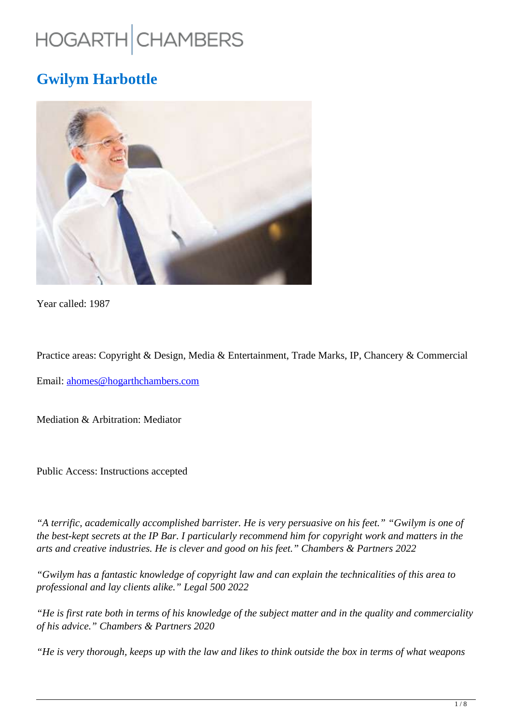# HOGARTH CHAMBERS

# **Gwilym Harbottle**



Year called: 1987

Practice areas: Copyright & Design, Media & Entertainment, Trade Marks, IP, Chancery & Commercial

Email: ahomes@hogarthchambers.com

Mediation & Arbitration: Mediator

Public Access: Instructions accepted

*"A terrific, academically accomplished barrister. He is very persuasive on his feet." "Gwilym is one of the best-kept secrets at the IP Bar. I particularly recommend him for copyright work and matters in the arts and creative industries. He is clever and good on his feet." Chambers & Partners 2022*

*"Gwilym has a fantastic knowledge of copyright law and can explain the technicalities of this area to professional and lay clients alike." Legal 500 2022*

*"He is first rate both in terms of his knowledge of the subject matter and in the quality and commerciality of his advice." Chambers & Partners 2020*

*"He is very thorough, keeps up with the law and likes to think outside the box in terms of what weapons*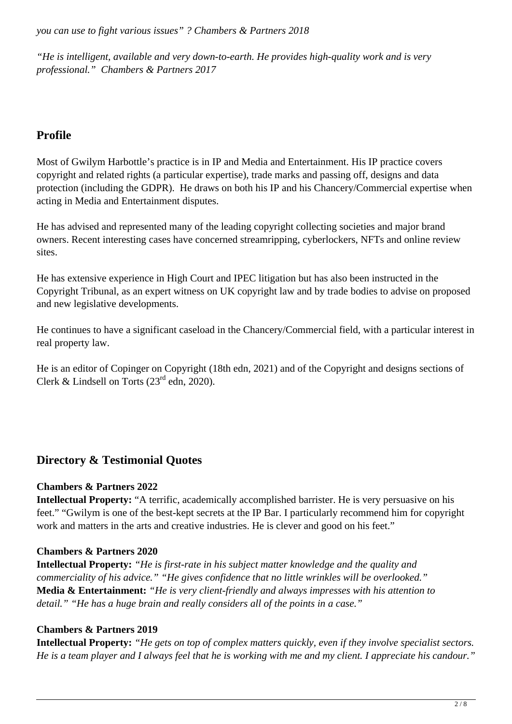*you can use to fight various issues" ? Chambers & Partners 2018*

*"He is intelligent, available and very down-to-earth. He provides high-quality work and is very professional." Chambers & Partners 2017*

# **Profile**

Most of Gwilym Harbottle's practice is in IP and Media and Entertainment. His IP practice covers copyright and related rights (a particular expertise), trade marks and passing off, designs and data protection (including the GDPR). He draws on both his IP and his Chancery/Commercial expertise when acting in Media and Entertainment disputes.

He has advised and represented many of the leading copyright collecting societies and major brand owners. Recent interesting cases have concerned streamripping, cyberlockers, NFTs and online review sites.

He has extensive experience in High Court and IPEC litigation but has also been instructed in the Copyright Tribunal, as an expert witness on UK copyright law and by trade bodies to advise on proposed and new legislative developments.

He continues to have a significant caseload in the Chancery/Commercial field, with a particular interest in real property law.

He is an editor of Copinger on Copyright (18th edn, 2021) and of the Copyright and designs sections of Clerk & Lindsell on Torts  $(23<sup>rd</sup>$  edn, 2020).

# **Directory & Testimonial Quotes**

#### **Chambers & Partners 2022**

**Intellectual Property:** "A terrific, academically accomplished barrister. He is very persuasive on his feet." "Gwilym is one of the best-kept secrets at the IP Bar. I particularly recommend him for copyright work and matters in the arts and creative industries. He is clever and good on his feet."

#### **Chambers & Partners 2020**

**Intellectual Property:** *"He is first-rate in his subject matter knowledge and the quality and commerciality of his advice." "He gives confidence that no little wrinkles will be overlooked."* **Media & Entertainment:** *"He is very client-friendly and always impresses with his attention to detail." "He has a huge brain and really considers all of the points in a case."*

#### **Chambers & Partners 2019**

**Intellectual Property:** *"He gets on top of complex matters quickly, even if they involve specialist sectors. He is a team player and I always feel that he is working with me and my client. I appreciate his candour."*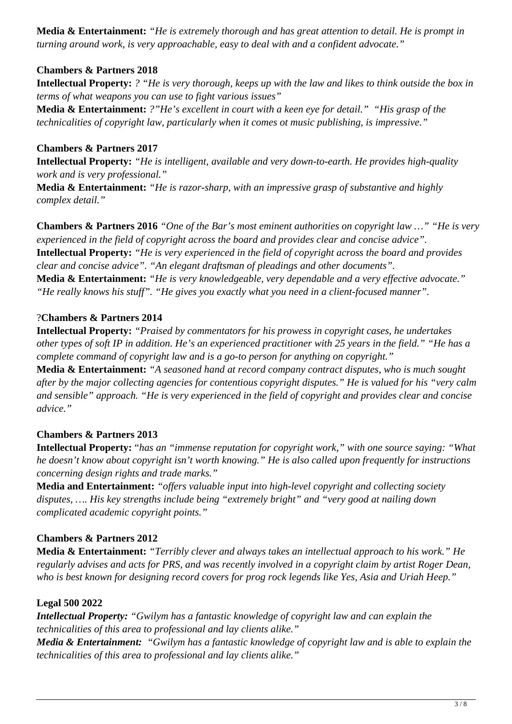**Media & Entertainment:** *"He is extremely thorough and has great attention to detail. He is prompt in turning around work, is very approachable, easy to deal with and a confident advocate."*

#### **Chambers & Partners 2018**

**Intellectual Property:** *? "He is very thorough, keeps up with the law and likes to think outside the box in terms of what weapons you can use to fight various issues"*

**Media & Entertainment:** *?"He's excellent in court with a keen eye for detail." "His grasp of the technicalities of copyright law, particularly when it comes ot music publishing, is impressive."*

#### **Chambers & Partners 2017**

**Intellectual Property:** *"He is intelligent, available and very down-to-earth. He provides high-quality work and is very professional."*

**Media & Entertainment:** *"He is razor-sharp, with an impressive grasp of substantive and highly complex detail."*

**Chambers & Partners 2016** *"One of the Bar's most eminent authorities on copyright law …" "He is very experienced in the field of copyright across the board and provides clear and concise advice".* **Intellectual Property:** *"He is very experienced in the field of copyright across the board and provides clear and concise advice". "An elegant draftsman of pleadings and other documents".* **Media & Entertainment:** *"He is very knowledgeable, very dependable and a very effective advocate." "He really knows his stuff". "He gives you exactly what you need in a client-focused manner".*

#### ?**Chambers & Partners 2014**

**Intellectual Property:** *"Praised by commentators for his prowess in copyright cases, he undertakes other types of soft IP in addition. He's an experienced practitioner with 25 years in the field." "He has a complete command of copyright law and is a go-to person for anything on copyright."*

**Media & Entertainment:** *"A seasoned hand at record company contract disputes, who is much sought after by the major collecting agencies for contentious copyright disputes." He is valued for his "very calm and sensible" approach. "He is very experienced in the field of copyright and provides clear and concise advice."*

#### **Chambers & Partners 2013**

**Intellectual Property:** "*has an "immense reputation for copyright work," with one source saying: "What he doesn't know about copyright isn't worth knowing." He is also called upon frequently for instructions concerning design rights and trade marks."*

**Media and Entertainment:** *"offers valuable input into high-level copyright and collecting society disputes, …. His key strengths include being "extremely bright" and "very good at nailing down complicated academic copyright points."*

#### **Chambers & Partners 2012**

**Media & Entertainment:** *"Terribly clever and always takes an intellectual approach to his work." He regularly advises and acts for PRS, and was recently involved in a copyright claim by artist Roger Dean, who is best known for designing record covers for prog rock legends like Yes, Asia and Uriah Heep."*

#### **Legal 500 2022**

*Intellectual Property: "Gwilym has a fantastic knowledge of copyright law and can explain the technicalities of this area to professional and lay clients alike."*

*Media & Entertainment: "Gwilym has a fantastic knowledge of copyright law and is able to explain the technicalities of this area to professional and lay clients alike."*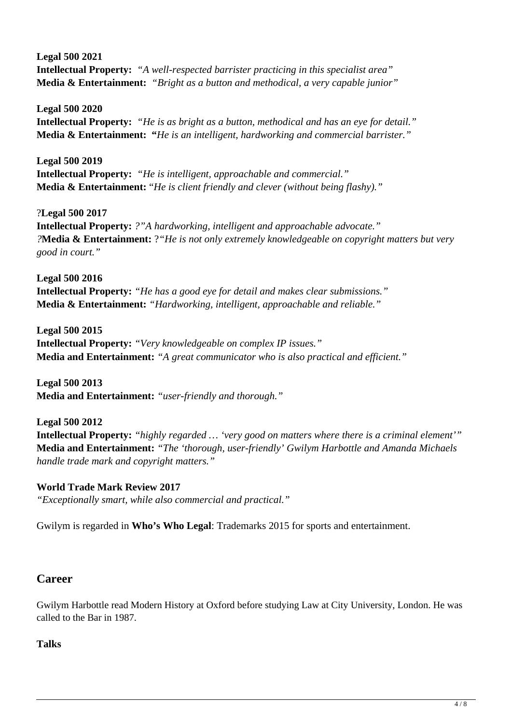**Legal 500 2021 Intellectual Property:** *"A well-respected barrister practicing in this specialist area"* **Media & Entertainment:** *"Bright as a button and methodical, a very capable junior"*

**Legal 500 2020 Intellectual Property:** *"He is as bright as a button, methodical and has an eye for detail."* **Media & Entertainment: "***He is an intelligent, hardworking and commercial barrister."*

**Legal 500 2019 Intellectual Property:** *"He is intelligent, approachable and commercial."* **Media & Entertainment:** "*He is client friendly and clever (without being flashy)."*

?**Legal 500 2017 Intellectual Property:** *?"A hardworking, intelligent and approachable advocate." ?***Media & Entertainment:** ?*"He is not only extremely knowledgeable on copyright matters but very good in court."*

**Legal 500 2016 Intellectual Property:** *"He has a good eye for detail and makes clear submissions."* **Media & Entertainment:** *"Hardworking, intelligent, approachable and reliable."*

**Legal 500 2015 Intellectual Property:** *"Very knowledgeable on complex IP issues."* **Media and Entertainment:** *"A great communicator who is also practical and efficient."*

**Legal 500 2013 Media and Entertainment:** *"user-friendly and thorough."*

**Legal 500 2012 Intellectual Property:** *"highly regarded … 'very good on matters where there is a criminal element'"* **Media and Entertainment:** *"The 'thorough, user-friendly' Gwilym Harbottle and Amanda Michaels handle trade mark and copyright matters."*

**World Trade Mark Review 2017** *"Exceptionally smart, while also commercial and practical."*

Gwilym is regarded in **Who's Who Legal**: Trademarks 2015 for sports and entertainment.

### **Career**

Gwilym Harbottle read Modern History at Oxford before studying Law at City University, London. He was called to the Bar in 1987.

#### **Talks**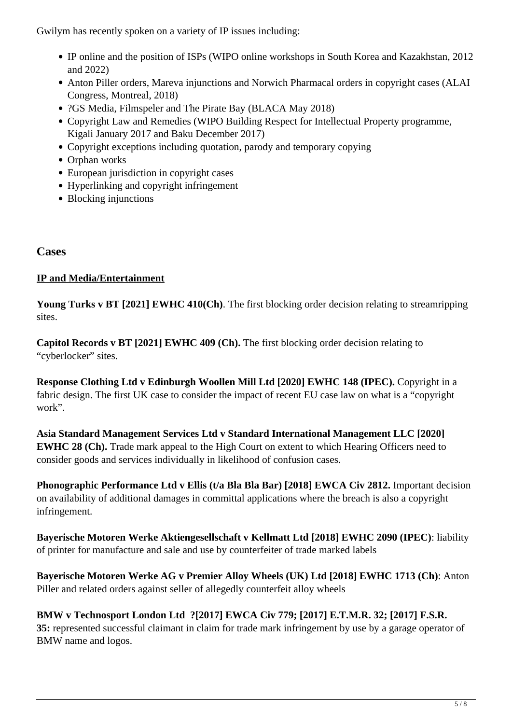Gwilym has recently spoken on a variety of IP issues including:

- IP online and the position of ISPs (WIPO online workshops in South Korea and Kazakhstan, 2012 and 2022)
- Anton Piller orders, Mareva injunctions and Norwich Pharmacal orders in copyright cases (ALAI Congress, Montreal, 2018)
- ?GS Media, Filmspeler and The Pirate Bay (BLACA May 2018)
- Copyright Law and Remedies (WIPO Building Respect for Intellectual Property programme, Kigali January 2017 and Baku December 2017)
- Copyright exceptions including quotation, parody and temporary copying
- Orphan works
- European jurisdiction in copyright cases
- Hyperlinking and copyright infringement
- Blocking injunctions

#### **Cases**

#### **IP and Media/Entertainment**

**Young Turks v BT [2021] EWHC 410(Ch)**. The first blocking order decision relating to streamripping sites.

**Capitol Records v BT [2021] EWHC 409 (Ch).** The first blocking order decision relating to "cyberlocker" sites.

**Response Clothing Ltd v Edinburgh Woollen Mill Ltd [2020] EWHC 148 (IPEC).** Copyright in a fabric design. The first UK case to consider the impact of recent EU case law on what is a "copyright work".

**Asia Standard Management Services Ltd v Standard International Management LLC [2020] EWHC 28 (Ch).** Trade mark appeal to the High Court on extent to which Hearing Officers need to consider goods and services individually in likelihood of confusion cases.

**Phonographic Performance Ltd v Ellis (t/a Bla Bla Bar) [2018] EWCA Civ 2812.** Important decision on availability of additional damages in committal applications where the breach is also a copyright infringement.

**Bayerische Motoren Werke Aktiengesellschaft v Kellmatt Ltd [2018] EWHC 2090 (IPEC)**: liability of printer for manufacture and sale and use by counterfeiter of trade marked labels

**Bayerische Motoren Werke AG v Premier Alloy Wheels (UK) Ltd [2018] EWHC 1713 (Ch)**: Anton Piller and related orders against seller of allegedly counterfeit alloy wheels

**BMW v Technosport London Ltd ?[2017] EWCA Civ 779; [2017] E.T.M.R. 32; [2017] F.S.R. 35:** represented successful claimant in claim for trade mark infringement by use by a garage operator of BMW name and logos.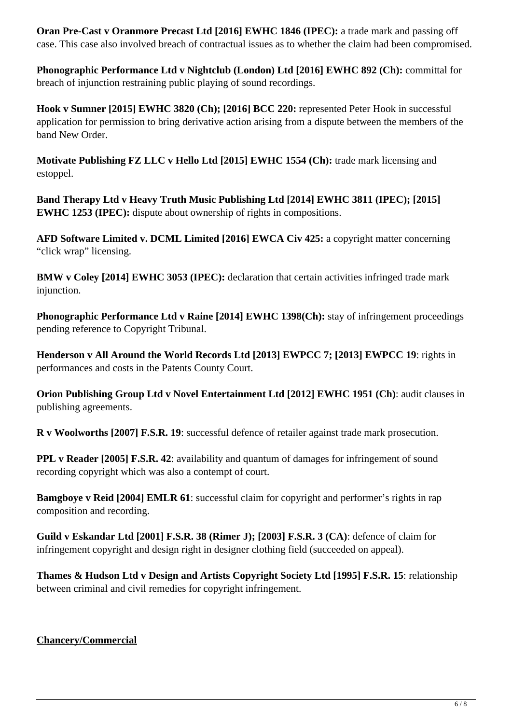**Oran Pre-Cast v Oranmore Precast Ltd [2016] EWHC 1846 (IPEC):** a trade mark and passing off case. This case also involved breach of contractual issues as to whether the claim had been compromised.

**Phonographic Performance Ltd v Nightclub (London) Ltd [2016] EWHC 892 (Ch):** committal for breach of injunction restraining public playing of sound recordings.

**Hook v Sumner [2015] EWHC 3820 (Ch); [2016] BCC 220:** represented Peter Hook in successful application for permission to bring derivative action arising from a dispute between the members of the band New Order.

**Motivate Publishing FZ LLC v Hello Ltd [2015] EWHC 1554 (Ch):** trade mark licensing and estoppel.

**Band Therapy Ltd v Heavy Truth Music Publishing Ltd [2014] EWHC 3811 (IPEC); [2015] EWHC 1253 (IPEC):** dispute about ownership of rights in compositions.

**AFD Software Limited v. DCML Limited [2016] EWCA Civ 425:** a copyright matter concerning "click wrap" licensing.

**BMW v Coley [2014] EWHC 3053 (IPEC):** declaration that certain activities infringed trade mark injunction.

**Phonographic Performance Ltd v Raine [2014] EWHC 1398(Ch):** stay of infringement proceedings pending reference to Copyright Tribunal.

**Henderson v All Around the World Records Ltd [2013] EWPCC 7; [2013] EWPCC 19**: rights in performances and costs in the Patents County Court.

**Orion Publishing Group Ltd v Novel Entertainment Ltd [2012] EWHC 1951 (Ch)**: audit clauses in publishing agreements.

**R v Woolworths [2007] F.S.R. 19**: successful defence of retailer against trade mark prosecution.

**PPL v Reader [2005] F.S.R. 42:** availability and quantum of damages for infringement of sound recording copyright which was also a contempt of court.

**Bamgboye v Reid [2004] EMLR 61:** successful claim for copyright and performer's rights in rap composition and recording.

**Guild v Eskandar Ltd [2001] F.S.R. 38 (Rimer J); [2003] F.S.R. 3 (CA)**: defence of claim for infringement copyright and design right in designer clothing field (succeeded on appeal).

**Thames & Hudson Ltd v Design and Artists Copyright Society Ltd [1995] F.S.R. 15**: relationship between criminal and civil remedies for copyright infringement.

**Chancery/Commercial**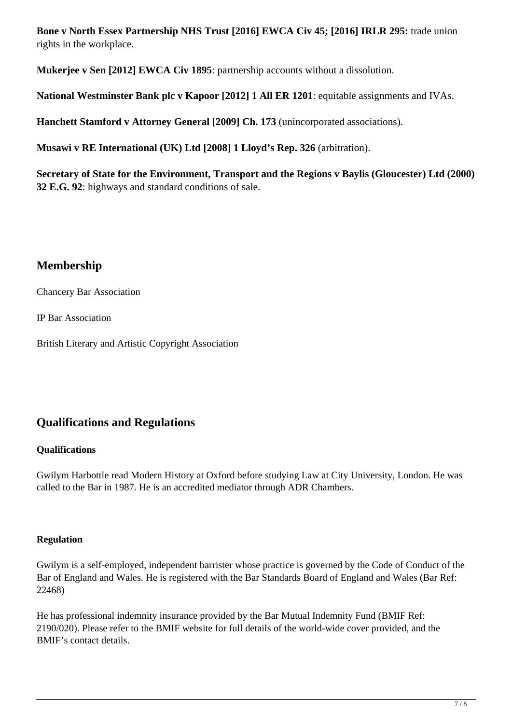**Bone v North Essex Partnership NHS Trust [2016] EWCA Civ 45; [2016] IRLR 295:** trade union rights in the workplace.

**Mukerjee v Sen [2012] EWCA Civ 1895**: partnership accounts without a dissolution.

**National Westminster Bank plc v Kapoor [2012] 1 All ER 1201**: equitable assignments and IVAs.

**Hanchett Stamford v Attorney General [2009] Ch. 173** (unincorporated associations).

**Musawi v RE International (UK) Ltd [2008] 1 Lloyd's Rep. 326** (arbitration).

**Secretary of State for the Environment, Transport and the Regions v Baylis (Gloucester) Ltd (2000) 32 E.G. 92**: highways and standard conditions of sale.

# **Membership**

Chancery Bar Association

IP Bar Association

British Literary and Artistic Copyright Association

# **Qualifications and Regulations**

#### **Qualifications**

Gwilym Harbottle read Modern History at Oxford before studying Law at City University, London. He was called to the Bar in 1987. He is an accredited mediator through ADR Chambers.

#### **Regulation**

Gwilym is a self-employed, independent barrister whose practice is governed by the Code of Conduct of the Bar of England and Wales. He is registered with the Bar Standards Board of England and Wales (Bar Ref: 22468)

He has professional indemnity insurance provided by the Bar Mutual Indemnity Fund (BMIF Ref: 2190/020). Please refer to the BMIF website for full details of the world-wide cover provided, and the BMIF's contact details.